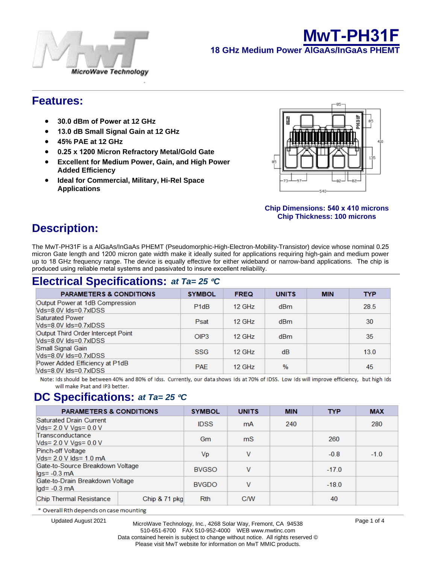



### **Features:**

- **30 dBm of Power at 12 GHz**
- **13 dB Small Signal Gain at 12 GHz**
- **45% PAE at 12 GHz**
- **0.25 x 1200 Micron Refractory Metal/Gold Gate**
- **Excellent for Medium Power, Gain, and High Power Added Efficiency**
- **Ideal for Commercial, Military, Hi-Rel Space Applications**

### **&KLS'LPHQVLRQV [ PLFURQV &KS7KFNQHVVPLF URQV**

# **Description:**

The MwT-PH31F is a AlGaAs/InGaAs PHEMT (Pseudomorphic-High-Electron-Mobility-Transistor) device whose nominal 0.25 micron Gate length and 1200 micron gate width make it ideally suited for applications requiring high-gain and medium power up to 18 GHz frequency range. The device is equally effective for either wideband or narrow-band applications. The chip is produced using reliable metal systems and passivated to insure excellent reliability.

## **Electrical Specifications:** *at Ta= 25* °*C*

## **DC Specifications:** *at Ta= 25* ° *C*

| <b>PARAMETERS &amp; CONDITIONS</b>                      | <b>SYMBOL</b> | <b>UNITS</b> | <b>MIN</b> | <b>TYP</b> | <b>MAX</b> |  |
|---------------------------------------------------------|---------------|--------------|------------|------------|------------|--|
| <b>Saturated Drain Current</b><br>Vds= 2.0 V Vgs= 0.0 V | <b>IDSS</b>   | mA           | 240        |            | 280        |  |
| Transconductance<br>Vds= 2.0 V Vgs= 0.0 V               | Gm            | mS           |            | 260        |            |  |
| Pinch-off Voltage<br>Vds= 2.0 V lds= 1.0 mA             | Vp            | v            |            | $-0.8$     | $-1.0$     |  |
| Gate-to-Source Breakdown Voltage<br>$lgs = -0.3$ mA     | <b>BVGSO</b>  | v            |            | $-17.0$    |            |  |
| Gate-to-Drain Breakdown Voltage<br>$lgd = -0.3$ mA      | <b>BVGDO</b>  | v            |            | $-18.0$    |            |  |
| Chip Thermal Resistance                                 | Chip & 71 pkg | <b>Rth</b>   | <b>C/W</b> |            | 40         |  |

\* Overall Rth depends on case mounting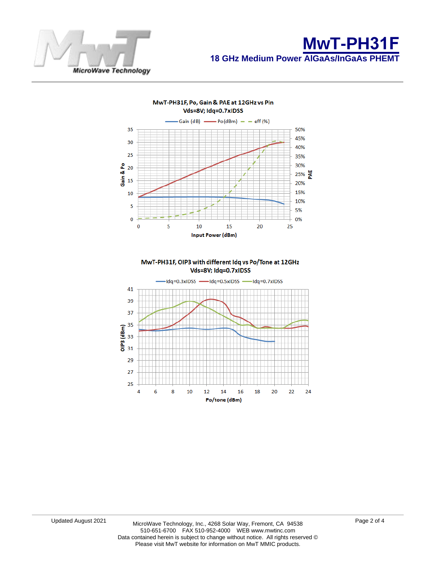



MwT-PH31F, OIP3 with different Idq vs Po/Tone at 12GHz Vds=8V; Idq=0.7xIDSS

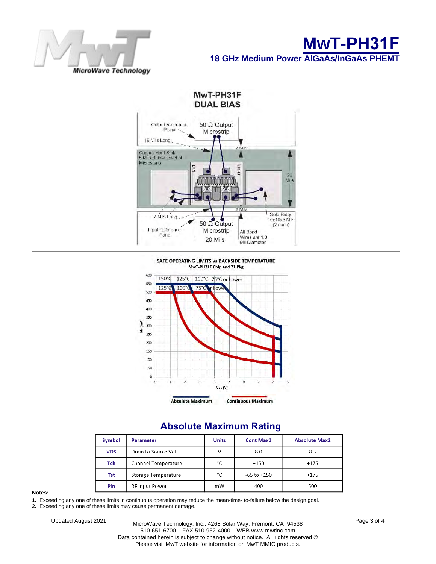



### **Absolute Maximum Rating**

| Symbol     | <b>Parameter</b>           | <b>Units</b> | <b>Cont Max1</b> | <b>Absolute Max2</b> |  |
|------------|----------------------------|--------------|------------------|----------------------|--|
| <b>VDS</b> | Drain to Source Volt.      |              | 8.0              | 8.5                  |  |
| Tch        | <b>Channel Temperature</b> | °C           | $+150$           | $+175$               |  |
| Tst        | Storage Temperature        | °C           | $-65$ to $+150$  | $+175$               |  |
| Pin        | <b>RF Input Power</b>      |              | 400              | 500                  |  |

#### **Notes:**

**1.** Exceeding any one of these limits in continuous operation may reduce the mean-time- to-failure below the design goal.

**2.** Exceeding any one of these limits may cause permanent damage.